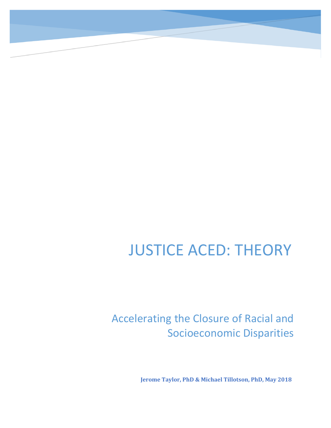## JUSTICE ACED: THEORY

### Accelerating the Closure of Racial and Socioeconomic Disparities

**Jerome Taylor, PhD & Michael Tillotson, PhD, May 2018**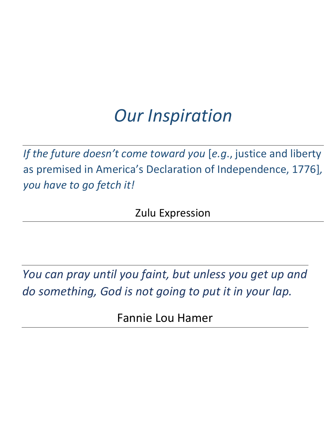# *Our Inspiration*

*If the future doesn't come toward you* [*e.g*., justice and liberty as premised in America's Declaration of Independence, 1776]*, you have to go fetch it!*

Zulu Expression

*You can pray until you faint, but unless you get up and do something, God is not going to put it in your lap.*

Fannie Lou Hamer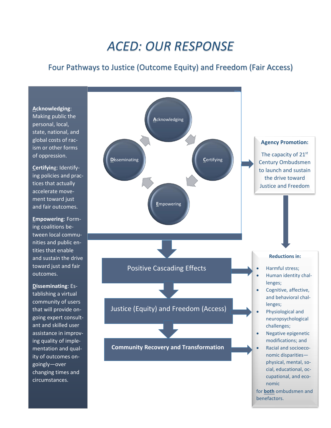## *ACED: OUR RESPONSE*

#### Four Pathways to Justice (Outcome Equity) and Freedom (Fair Access)